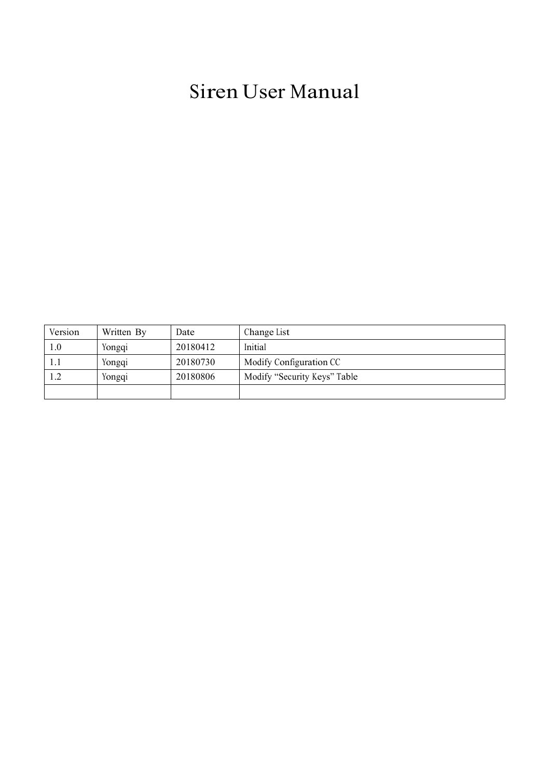# Siren User Manual

| Version | Written By | Date     | Change List                  |
|---------|------------|----------|------------------------------|
| 1.0     | Yongqi     | 20180412 | Initial                      |
| 1.1     | Yongqi     | 20180730 | Modify Configuration CC      |
| 1.2     | Yongqi     | 20180806 | Modify "Security Keys" Table |
|         |            |          |                              |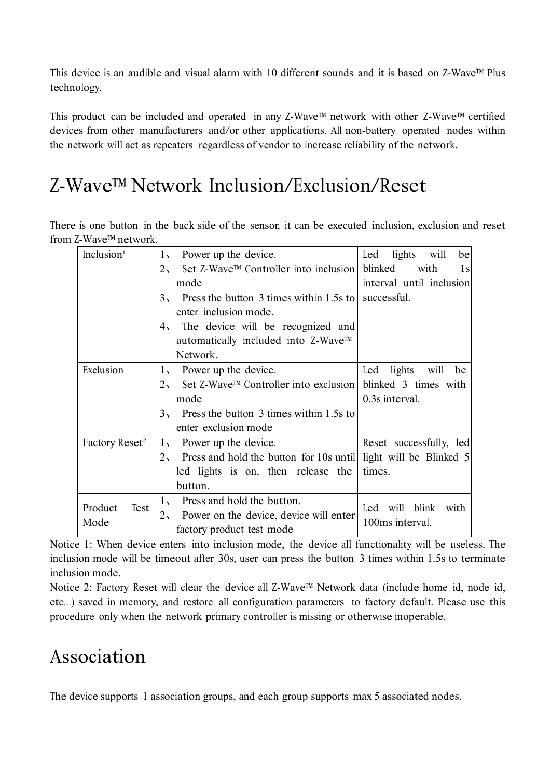This device is an audible and visual alarm with 10 different sounds and it is based on Z-Wave™ Plus technology.

This product can be included and operated in any Z-Wave™ network with other Z-Wave™ certified devices from other manufacturers and/or other applications. All non-battery operated nodes within the network will act as repeaters regardless of vendor to increase reliability of the network.

## Z-Wave™ Network Inclusion/Exclusion/Reset

There is one button in the back side of the sensor, it can be executed inclusion, exclusion and reset from Z-Wave™ network.

| Inclusion <sup>1</sup>     | Power up the device.<br>1 <sub>1</sub>                                            | lights<br>be<br>will<br>Led  |
|----------------------------|-----------------------------------------------------------------------------------|------------------------------|
|                            | Set Z-Wave™ Controller into inclusion<br>2 <sub>1</sub>                           | blinked<br>with<br>1s        |
|                            | mode                                                                              | interval until inclusion     |
|                            | 3, Press the button 3 times within 1.5s to successful.                            |                              |
|                            | enter inclusion mode.                                                             |                              |
|                            | 4. The device will be recognized and                                              |                              |
|                            | automatically included into Z-Wave™                                               |                              |
|                            | Network.                                                                          |                              |
| Exclusion                  | 1, Power up the device.                                                           | lights<br>will<br>Led<br>be  |
|                            | Set Z-Wave™ Controller into exclusion   blinked 3 times with<br>2 <sub>1</sub>    |                              |
|                            | mode                                                                              | 0.3s interval.               |
|                            | 3, Press the button 3 times within 1.5s to                                        |                              |
|                            | enter exclusion mode                                                              |                              |
| Factory Reset <sup>2</sup> | Power up the device.<br>$1_{\mathcal{N}}$                                         | Reset successfully, led      |
|                            | Press and hold the button for 10s until light will be Blinked 5<br>2 <sub>1</sub> |                              |
|                            | led lights is on, then release the                                                | times.                       |
|                            | button.                                                                           |                              |
| Product<br>Test            | Press and hold the button.<br>$1_{\mathcal{N}}$                                   | blink<br>will<br>Led<br>with |
| Mode                       | Power on the device, device will enter<br>2 <sub>1</sub>                          | 100ms interval.              |
|                            | factory product test mode                                                         |                              |

Notice 1: When device enters into inclusion mode, the device all functionality will be useless. The inclusion mode will be timeout after 30s, user can press the button 3 times within 1.5s to terminate inclusion mode.

Notice 2: Factory Reset will clear the device all Z-Wave™ Network data (include home id, node id, etc…) saved in memory, and restore all configuration parameters to factory default. Please use this procedure only when the network primary controller is missing or otherwise inoperable.

## Association

The device supports 1 association groups, and each group supports max 5 associated nodes.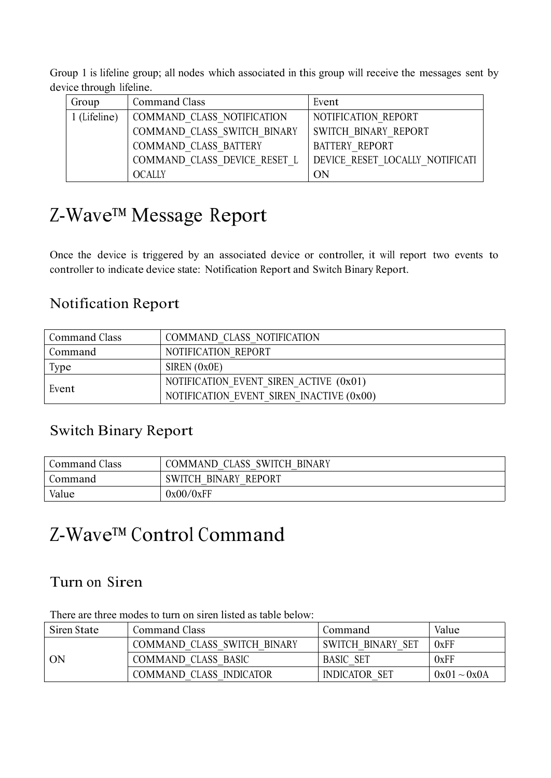Group 1 is lifeline group; all nodes which associated in this group will receive the messages sent by device through lifeline.

| Group        | Command Class                | Event                           |
|--------------|------------------------------|---------------------------------|
| 1 (Lifeline) | COMMAND CLASS NOTIFICATION   | NOTIFICATION REPORT             |
|              | COMMAND CLASS SWITCH BINARY  | SWITCH BINARY REPORT            |
|              | COMMAND CLASS BATTERY        | <b>BATTERY REPORT</b>           |
|              | COMMAND CLASS DEVICE RESET L | DEVICE RESET LOCALLY NOTIFICATI |
|              | <b>OCALLY</b>                | ON                              |

# Z-Wave™ Message Report

Once the device is triggered by an associated device or controller, it will report two events to controller to indicate device state: Notification Report and Switch Binary Report.

### Notification Report

| Command Class | COMMAND CLASS NOTIFICATION               |
|---------------|------------------------------------------|
| Command       | NOTIFICATION REPORT                      |
| Type          | SIREN $(0x0E)$                           |
|               | NOTIFICATION EVENT SIREN ACTIVE (0x01)   |
| Event         | NOTIFICATION EVENT SIREN INACTIVE (0x00) |

### Switch Binary Report

| Command Class | COMMAND CLASS SWITCH BINARY |
|---------------|-----------------------------|
| Command       | SWITCH BINARY REPORT        |
| Value         | 0x00/0xFF                   |

# Z-Wave™ Control Command

### Turn on Siren

There are three modes to turn on siren listed as table below:

| Siren State | Command Class               | Command                            | Value            |
|-------------|-----------------------------|------------------------------------|------------------|
|             | COMMAND CLASS SWITCH BINARY | <b>SWITCH BINARY</b><br><b>SET</b> | 0xFF             |
| ON          | <b>COMMAND CLASS BASIC</b>  | <b>BASIC SET</b>                   | 0xFF             |
|             | COMMAND CLASS INDICATOR     | <b>INDICATOR</b><br>- SET          | $0x01 \sim 0x0A$ |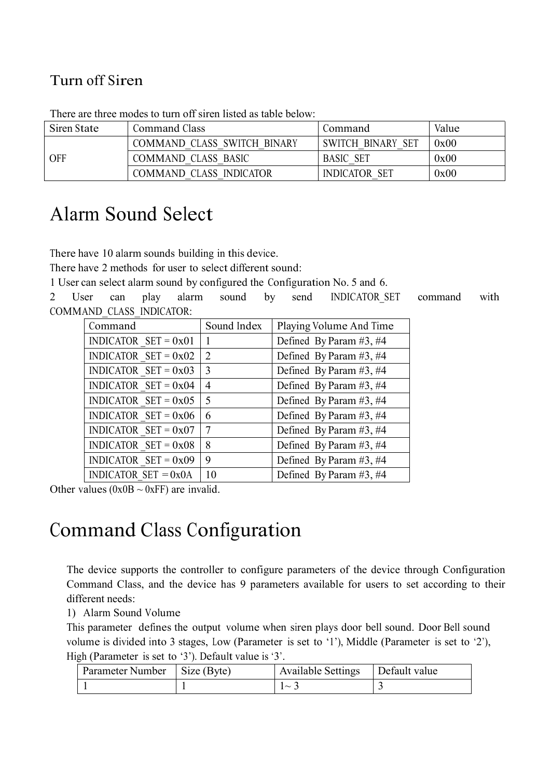### Turn off Siren

| Siren State | Command Class               | Command                            | Value |
|-------------|-----------------------------|------------------------------------|-------|
|             | COMMAND CLASS SWITCH BINARY | <b>SWITCH BINARY</b><br><b>SET</b> | 0x00  |
| OFF         | COMMAND CLASS BASIC         | <b>BASIC SET</b>                   | 0x00  |
|             | COMMAND CLASS INDICATOR     | <b>INDICATOR</b><br>SET            | 0x00  |

There are three modes to turn off siren listed as table below:

## Alarm Sound Select

There have 10 alarm sounds building in this device.<br>There have 2 methods for user to select different sound:

1 User can select alarm sound by configured the Configuration No. 5 and 6.

2 User can play alarm sound by send INDICATOR\_SET command with COMMAND\_CLASS\_INDICATOR:

| Command                | Sound Index | Playing Volume And Time   |
|------------------------|-------------|---------------------------|
| INDICATOR $SET = 0x01$ |             | Defined By Param $#3, #4$ |
| INDICATOR $SET = 0x02$ | 2           | Defined By Param $#3, #4$ |
| INDICATOR SET = $0x03$ | 3           | Defined By Param $#3, #4$ |
| INDICATOR $SET = 0x04$ | 4           | Defined By Param $#3, #4$ |
| INDICATOR SET = $0x05$ | -5          | Defined By Param $#3, #4$ |
| INDICATOR $SET = 0x06$ | 6           | Defined By Param $#3, #4$ |
| INDICATOR $SET = 0x07$ | 7           | Defined By Param $#3, #4$ |
| INDICATOR $SET = 0x08$ | 8           | Defined By Param $#3, #4$ |
| INDICATOR $SET = 0x09$ | 9           | Defined By Param $#3, #4$ |
| INDICATOR $SET = 0x0A$ | 10          | Defined By Param $#3, #4$ |

Other values ( $0x0B \sim 0xFF$ ) are invalid.

## Command Class Configuration

The device supports the controller to configure parameters of the device through Configuration Command Class, and the device has 9 parameters available for users to set according to their different needs:

1) Alarm Sound Volume

This parameter defines the output volume when siren plays door bell sound. Door Bell sound volume is divided into 3 stages, Low (Parameter is set to '1'), Middle (Parameter is set to '2'), High (Parameter is set to '3'). Default value is '3'.

| Parameter Number | Size (Byte) | <b>Available Settings</b> | Default value |
|------------------|-------------|---------------------------|---------------|
|                  |             | $\sim$                    |               |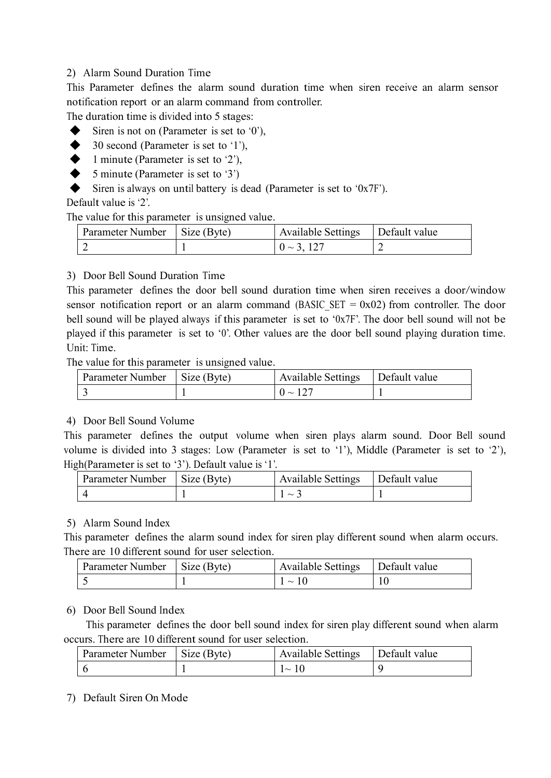#### 2) Alarm Sound Duration Time

This Parameter defines the alarm sound duration time when siren receive an alarm sensor notification report or an alarm command from controller.

The duration time is divided into 5 stages:

- Siren is not on (Parameter is set to  $\theta'$ ),
- $\blacklozenge$  30 second (Parameter is set to '1'),
- $\blacklozenge$  1 minute (Parameter is set to '2'),
- $\blacklozenge$  5 minute (Parameter is set to '3')
- $\blacklozenge$  Siren is always on until battery is dead (Parameter is set to '0x7F').

Default value is '2'.

The value for this parameter is unsigned value.

| 'arameter-<br>Number | $\sim\cdot$<br>Size (Byte) | Available Settings | Default value |
|----------------------|----------------------------|--------------------|---------------|
| -                    |                            | -                  | ∼             |

3) Door Bell Sound Duration Time

This parameter defines the door bell sound duration time when siren receives a door/window sensor notification report or an alarm command (BASIC SET =  $0x02$ ) from controller. The door bell sound will be played always if this parameter is set to ' $0x7F$ '. The door bell sound will not be played if this parameter is set to '0'. Other values are the door bell sound playing duration time. Unit: Time.

The value for this parameter is unsigned value.

| Parameter Number | $\vert$ Size (Byte) | <b>Available Settings</b> | Default value |
|------------------|---------------------|---------------------------|---------------|
|                  |                     | $\sim$                    |               |

#### 4) Door Bell Sound Volume

This parameter defines the output volume when siren plays alarm sound. Door Bell sound volume is divided into 3 stages: Low (Parameter is set to '1'), Middle (Parameter is set to '2'), High(Parameter is set to '3'). Default value is '1'.

| Parameter Number | $\frac{1}{2}$ Size (Byte) | <b>Available Settings</b> | Default value |
|------------------|---------------------------|---------------------------|---------------|
|                  |                           | $\sim$                    |               |

#### 5) Alarm Sound Index

This parameter defines the alarm sound index for siren play different sound when alarm occurs. There are 10 different sound for user selection.

| Parameter Number | Size (Byte) | <b>Available Settings</b> | Default value |
|------------------|-------------|---------------------------|---------------|
|                  |             | $\sim$                    |               |

6) Door Bell Sound Index

This parameter defines the door bell sound index for siren play different sound when alarm occurs. There are 10 different sound for user selection.

| Parameter Number | Size (Byte) | Available Settings | Default value |
|------------------|-------------|--------------------|---------------|
|                  |             | 1 V                |               |

7) Default Siren On Mode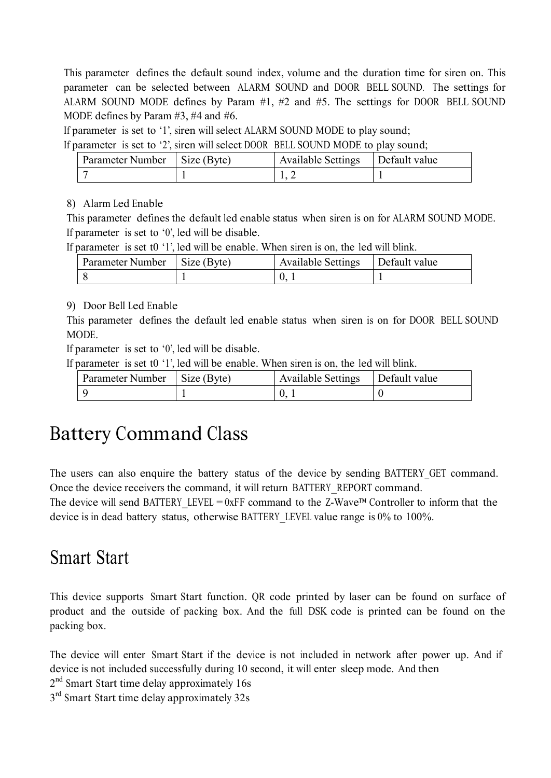This parameter defines the default sound index, volume and the duration time for siren on. This parameter can be selected between ALARM SOUND and DOOR BELL SOUND. The settings for ALARM SOUND MODE defines by Param  $#1$ ,  $#2$  and  $#5$ . The settings for DOOR BELL SOUND MODE defines by Param #3, #4 and #6.

If parameter is set to '1', siren will select ALARM SOUND MODE to play sound;

If parameter is set to '2', siren will select DOOR BELL SOUND MODE to play sound;

| Parameter Number | $\vert$ Size (Byte) | <b>Available Settings</b> | Default value |
|------------------|---------------------|---------------------------|---------------|
|                  |                     |                           |               |

#### 8) Alarm Led Enable

This parameter defines the default led enable status when siren is on for ALARM SOUND MODE. If parameter is set to '0', led will be disable.

If parameter is set t0 '1', led will be enable. When siren is on, the led will blink.

| Parameter Number | $\perp$ Size (Byte) | <b>Available Settings</b> | Default value |
|------------------|---------------------|---------------------------|---------------|
|                  |                     |                           |               |

#### 9) Door Bell Led Enable

This parameter defines the default led enable status when siren is on for DOOR BELL SOUND MODE.

If parameter is set to '0', led will be disable.

If parameter is set t0 '1', led will be enable. When siren is on, the led will blink.

| Parameter Number | $\sim$<br>Size (Byte) | <b>Available Settings</b> | Default value |
|------------------|-----------------------|---------------------------|---------------|
|                  |                       | v.                        |               |

## Battery Command Class

The users can also enquire the battery status of the device by sending BATTERY\_GET command. Once the device receivers the command, it will return BATTERY\_REPORT command.

The device will send BATTERY LEVEL =  $0xFF$  command to the Z-Wave<sup>™</sup> Controller to inform that the device is in dead battery status, otherwise BATTERY\_LEVEL value range is 0% to 100%.

## Smart Start

This device supports Smart Start function. QR code printed by laser can be found on surface of product and the outside of packing box. And the full DSK code is printed can be found on the packing box.

The device will enter Smart Start if the device is not included in network after power up. And if device is not included successfully during 10 second, it will enter sleep mode. And then 2<sup>nd</sup> Smart Start time delay approximately 16s

3<sup>rd</sup> Smart Start time delay approximately 32s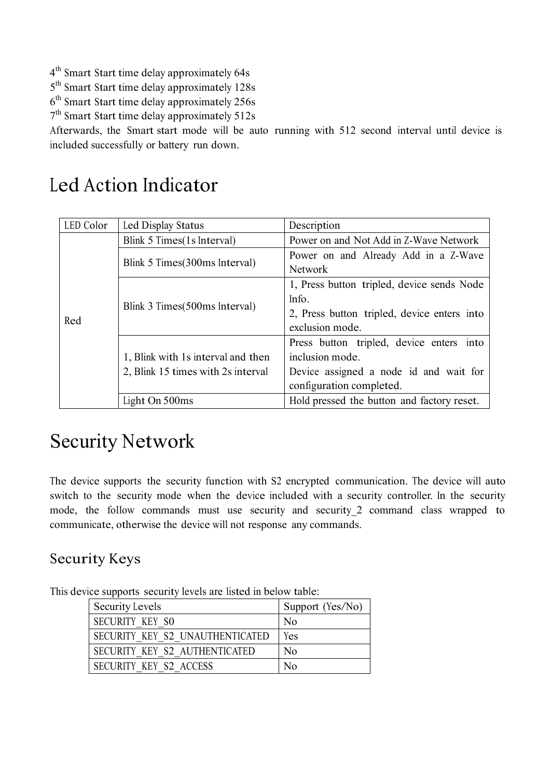- 4 th Smart Start time delay approximately 64s
- 5 th Smart Start time delay approximately 128s
- 6 th Smart Start time delay approximately 256s
- 7 th Smart Start time delay approximately 512s

Afterwards, the Smart start mode will be auto running with 512 second interval until device is included successfully or battery run down.

## Led Action Indicator

| LED Color | Led Display Status                 | Description                                 |
|-----------|------------------------------------|---------------------------------------------|
|           | Blink 5 Times (1s Interval)        | Power on and Not Add in Z-Wave Network      |
|           |                                    | Power on and Already Add in a Z-Wave        |
|           | Blink 5 Times (300ms Interval)     | <b>Network</b>                              |
|           |                                    | 1, Press button tripled, device sends Node  |
|           |                                    | Info.                                       |
| Red       | Blink 3 Times (500ms Interval)     | 2, Press button tripled, device enters into |
|           |                                    | exclusion mode.                             |
|           |                                    | Press button tripled, device enters into    |
|           | 1, Blink with 1s interval and then | inclusion mode.                             |
|           | 2, Blink 15 times with 2s interval | Device assigned a node id and wait for      |
|           |                                    | configuration completed.                    |
|           | Light On 500ms                     | Hold pressed the button and factory reset.  |

## Security Network

The device supports the security function with S2 encrypted communication. The device will auto switch to the security mode when the device included with a security controller. In the security mode, the follow commands must use security and security\_2 command class wrapped to communicate, otherwise the device will not response any commands.

### Security Keys

|                            |  | This device supports security levels are listed in below table: |  |                             |  |
|----------------------------|--|-----------------------------------------------------------------|--|-----------------------------|--|
| $\alpha$ $\alpha$ $\alpha$ |  |                                                                 |  | $\sim$ $\sim$ $\sim$ $\sim$ |  |

| Security Levels                 | Support (Yes/No) |
|---------------------------------|------------------|
| <b>SECURITY KEY SO</b>          | N <sub>0</sub>   |
| SECURITY KEY S2 UNAUTHENTICATED | Yes              |
| SECURITY KEY S2 AUTHENTICATED   | No               |
| SECURITY KEY S2 ACCESS          | No               |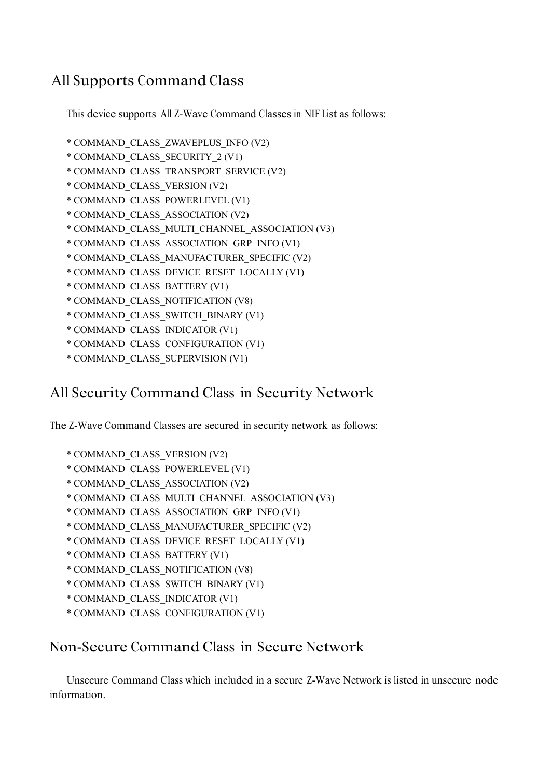### All Supports Command Class

This device supports All Z-Wave Command Classes in NIF List as follows:

- \* COMMAND\_CLASS\_ZWAVEPLUS\_INFO (V2)
- \* COMMAND\_CLASS\_SECURITY\_2 (V1)
- \* COMMAND\_CLASS\_TRANSPORT\_SERVICE (V2)
- \* COMMAND\_CLASS\_VERSION (V2)
- \* COMMAND\_CLASS\_POWERLEVEL (V1)
- \* COMMAND\_CLASS\_ASSOCIATION (V2)
- \* COMMAND\_CLASS\_MULTI\_CHANNEL\_ASSOCIATION (V3)
- \* COMMAND\_CLASS\_ASSOCIATION\_GRP\_INFO (V1)
- \* COMMAND\_CLASS\_MANUFACTURER\_SPECIFIC (V2)
- \* COMMAND\_CLASS\_DEVICE\_RESET\_LOCALLY (V1)
- \* COMMAND\_CLASS\_BATTERY (V1)
- \* COMMAND\_CLASS\_NOTIFICATION (V8)
- \* COMMAND\_CLASS\_SWITCH\_BINARY (V1)
- \* COMMAND\_CLASS\_INDICATOR (V1)
- \* COMMAND\_CLASS\_CONFIGURATION (V1)
- \* COMMAND\_CLASS\_SUPERVISION (V1)

### All Security Command Class in Security Network

The Z-Wave Command Classes are secured in security network as follows:

- \* COMMAND\_CLASS\_VERSION (V2)
- \* COMMAND\_CLASS\_POWERLEVEL (V1)
- \* COMMAND\_CLASS\_ASSOCIATION (V2)
- \* COMMAND\_CLASS\_MULTI\_CHANNEL\_ASSOCIATION (V3)
- \* COMMAND\_CLASS\_ASSOCIATION\_GRP\_INFO (V1)
- \* COMMAND\_CLASS\_MANUFACTURER\_SPECIFIC (V2)
- \* COMMAND\_CLASS\_DEVICE\_RESET\_LOCALLY (V1)
- \* COMMAND\_CLASS\_BATTERY (V1)
- \* COMMAND\_CLASS\_NOTIFICATION (V8)
- \* COMMAND\_CLASS\_SWITCH\_BINARY (V1)
- \* COMMAND\_CLASS\_INDICATOR (V1)
- \* COMMAND\_CLASS\_CONFIGURATION (V1)

### Non-Secure Command Class in Secure Network

Unsecure Command Class which included in a secure Z-Wave Network is listed in unsecure node information.